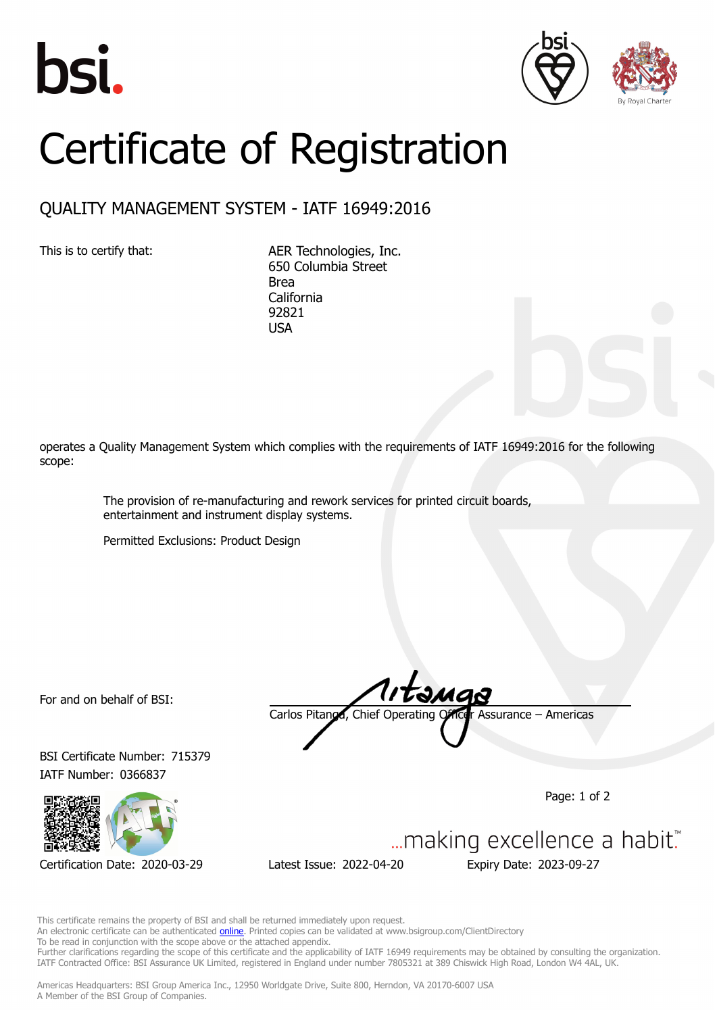





## Certificate of Registration

## QUALITY MANAGEMENT SYSTEM - IATF 16949:2016

This is to certify that: AER Technologies, Inc. 650 Columbia Street Brea California 92821 USA

operates a Quality Management System which complies with the requirements of IATF 16949:2016 for the following scope:

> The provision of re-manufacturing and rework services for printed circuit boards, entertainment and instrument display systems.

Permitted Exclusions: Product Design

For and on behalf of BSI:

BSI Certificate Number: 715379 IATF Number: 0366837



Certification Date: 2020-03-29 Latest Issue: 2022-04-20 Expiry Date: 2023-09-27

Carlos Pitanga, Chief Operating Officer Assurance – Americas

Page: 1 of 2



This certificate remains the property of BSI and shall be returned immediately upon request. An electronic certificate can be authenticated **[online](https://pgplus.bsigroup.com/CertificateValidation/CertificateValidator.aspx?CertificateNumber=TS+715379&ReIssueDate=20%2f04%2f2022&Template=inc)**. Printed copies can be validated at www.bsigroup.com/ClientDirectory

To be read in conjunction with the scope above or the attached appendix.

Further clarifications regarding the scope of this certificate and the applicability of IATF 16949 requirements may be obtained by consulting the organization. IATF Contracted Office: BSI Assurance UK Limited, registered in England under number 7805321 at 389 Chiswick High Road, London W4 4AL, UK.

Americas Headquarters: BSI Group America Inc., 12950 Worldgate Drive, Suite 800, Herndon, VA 20170-6007 USA A Member of the BSI Group of Companies.